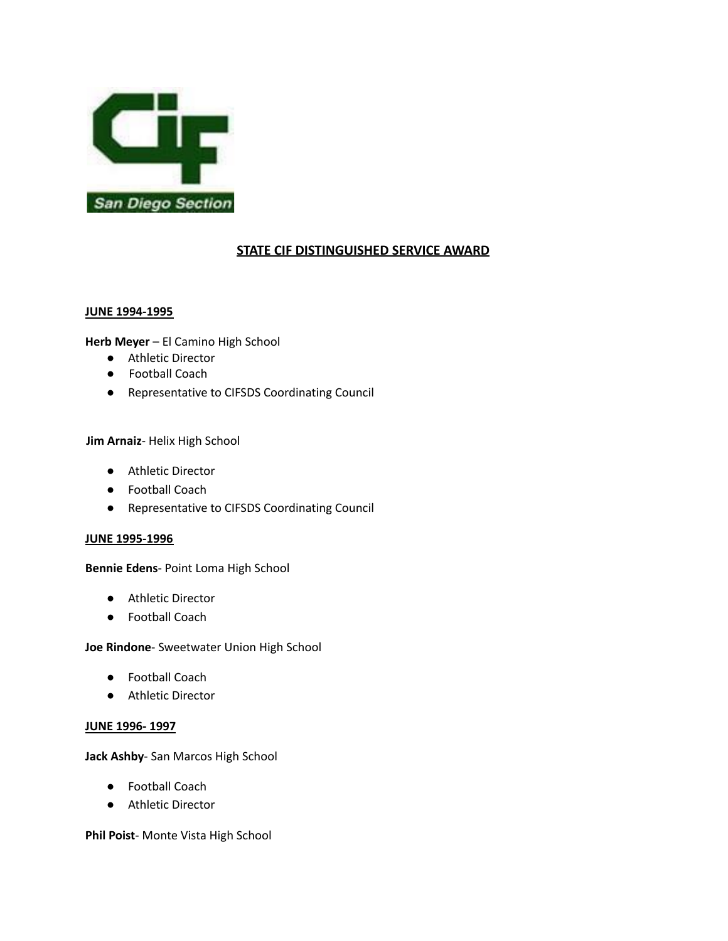

# **STATE CIF DISTINGUISHED SERVICE AWARD**

#### **JUNE 1994-1995**

**Herb Meyer** – El Camino High School

- Athletic Director
- Football Coach
- Representative to CIFSDS Coordinating Council

# **Jim Arnaiz**- Helix High School

- Athletic Director
- Football Coach
- Representative to CIFSDS Coordinating Council

#### **JUNE 1995-1996**

**Bennie Edens**- Point Loma High School

- Athletic Director
- Football Coach

**Joe Rindone**- Sweetwater Union High School

- Football Coach
- Athletic Director

# **JUNE 1996- 1997**

**Jack Ashby**- San Marcos High School

- Football Coach
- Athletic Director

**Phil Poist**- Monte Vista High School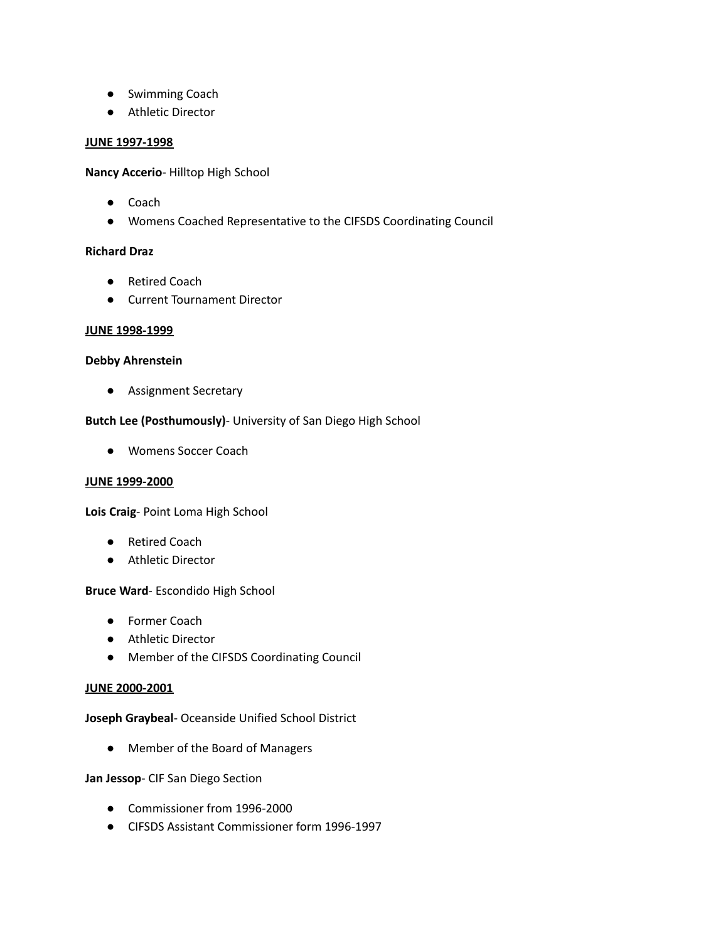- Swimming Coach
- Athletic Director

### **JUNE 1997-1998**

**Nancy Accerio**- Hilltop High School

- Coach
- Womens Coached Representative to the CIFSDS Coordinating Council

# **Richard Draz**

- Retired Coach
- Current Tournament Director

### **JUNE 1998-1999**

## **Debby Ahrenstein**

● Assignment Secretary

# **Butch Lee (Posthumously)**- University of San Diego High School

● Womens Soccer Coach

# **JUNE 1999-2000**

**Lois Craig**- Point Loma High School

- Retired Coach
- Athletic Director

# **Bruce Ward**- Escondido High School

- Former Coach
- Athletic Director
- Member of the CIFSDS Coordinating Council

#### **JUNE 2000-2001**

**Joseph Graybeal**- Oceanside Unified School District

● Member of the Board of Managers

### **Jan Jessop**- CIF San Diego Section

- Commissioner from 1996-2000
- CIFSDS Assistant Commissioner form 1996-1997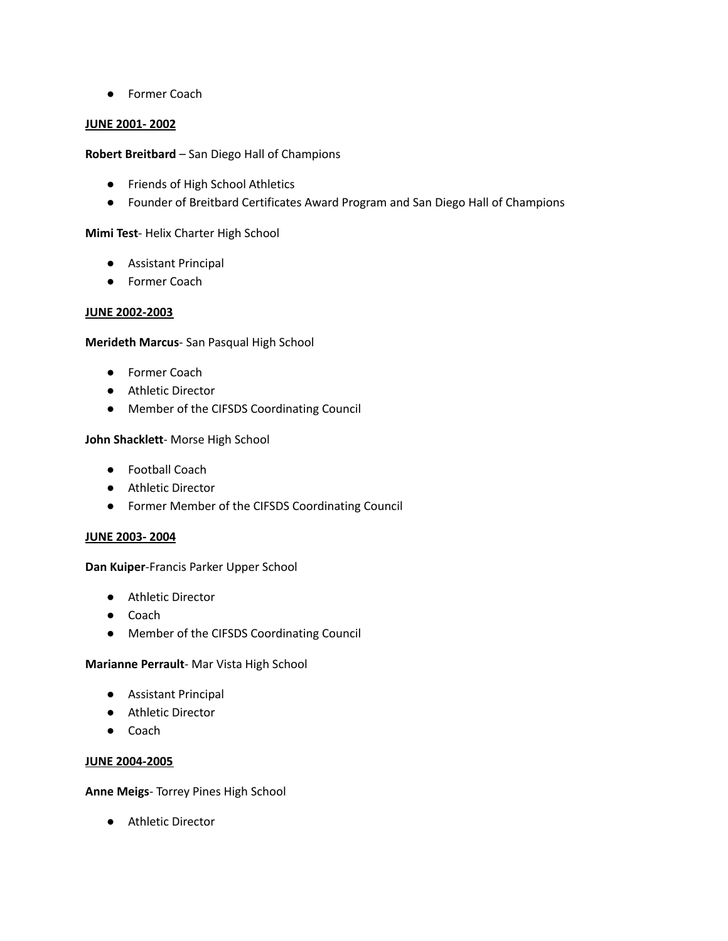● Former Coach

# **JUNE 2001- 2002**

# **Robert Breitbard** – San Diego Hall of Champions

- Friends of High School Athletics
- Founder of Breitbard Certificates Award Program and San Diego Hall of Champions

# **Mimi Test**- Helix Charter High School

- Assistant Principal
- Former Coach

# **JUNE 2002-2003**

# **Merideth Marcus**- San Pasqual High School

- Former Coach
- Athletic Director
- Member of the CIFSDS Coordinating Council

# **John Shacklett**- Morse High School

- Football Coach
- Athletic Director
- Former Member of the CIFSDS Coordinating Council

# **JUNE 2003- 2004**

# **Dan Kuiper**-Francis Parker Upper School

- Athletic Director
- Coach
- Member of the CIFSDS Coordinating Council

# **Marianne Perrault**- Mar Vista High School

- Assistant Principal
- Athletic Director
- Coach

# **JUNE 2004-2005**

**Anne Meigs**- Torrey Pines High School

● Athletic Director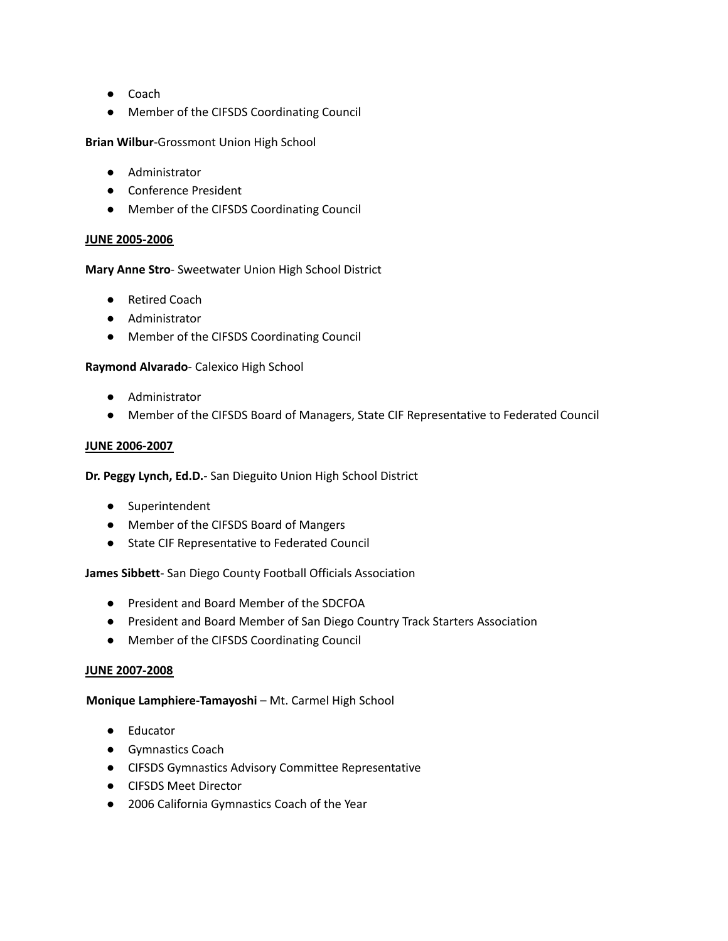- Coach
- Member of the CIFSDS Coordinating Council

**Brian Wilbur**-Grossmont Union High School

- Administrator
- Conference President
- Member of the CIFSDS Coordinating Council

### **JUNE 2005-2006**

### **Mary Anne Stro**- Sweetwater Union High School District

- Retired Coach
- Administrator
- Member of the CIFSDS Coordinating Council

### **Raymond Alvarado**- Calexico High School

- Administrator
- Member of the CIFSDS Board of Managers, State CIF Representative to Federated Council

### **JUNE 2006-2007**

# **Dr. Peggy Lynch, Ed.D.**- San Dieguito Union High School District

- Superintendent
- Member of the CIFSDS Board of Mangers
- State CIF Representative to Federated Council

# **James Sibbett**- San Diego County Football Officials Association

- President and Board Member of the SDCFOA
- President and Board Member of San Diego Country Track Starters Association
- Member of the CIFSDS Coordinating Council

#### **JUNE 2007-2008**

# **Monique Lamphiere-Tamayoshi** – Mt. Carmel High School

- Educator
- Gymnastics Coach
- CIFSDS Gymnastics Advisory Committee Representative
- CIFSDS Meet Director
- 2006 California Gymnastics Coach of the Year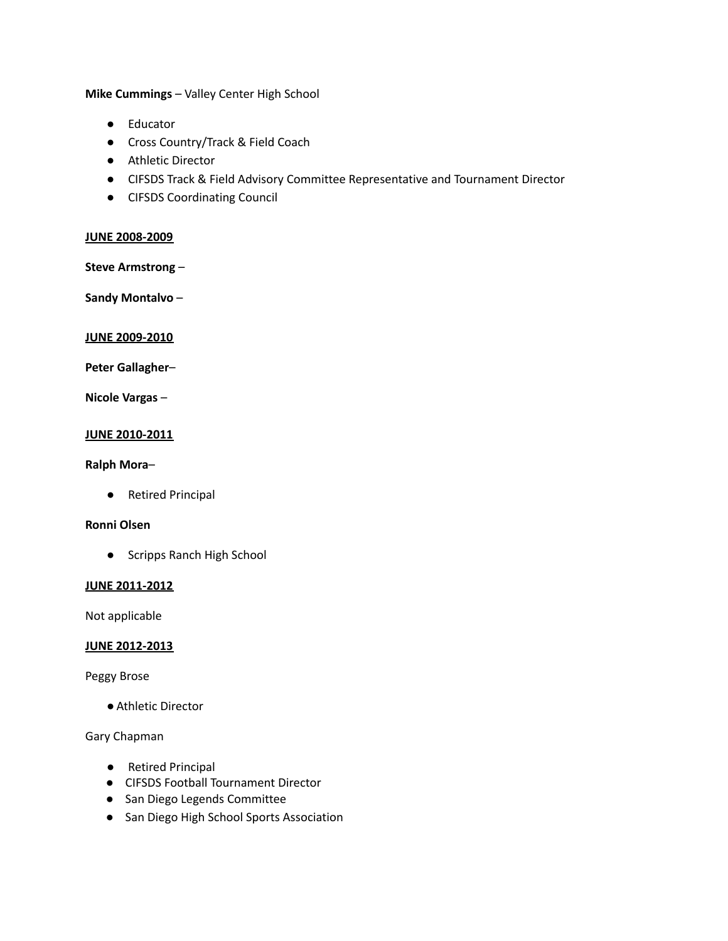**Mike Cummings** – Valley Center High School

- Educator
- Cross Country/Track & Field Coach
- Athletic Director
- CIFSDS Track & Field Advisory Committee Representative and Tournament Director
- CIFSDS Coordinating Council

### **JUNE 2008-2009**

**Steve Armstrong** –

**Sandy Montalvo** –

#### **JUNE 2009-2010**

**Peter Gallagher**–

**Nicole Vargas** –

#### **JUNE 2010-2011**

### **Ralph Mora**–

● Retired Principal

#### **Ronni Olsen**

● Scripps Ranch High School

### **JUNE 2011-2012**

Not applicable

### **JUNE 2012-2013**

Peggy Brose

● Athletic Director

# Gary Chapman

- Retired Principal
- CIFSDS Football Tournament Director
- San Diego Legends Committee
- San Diego High School Sports Association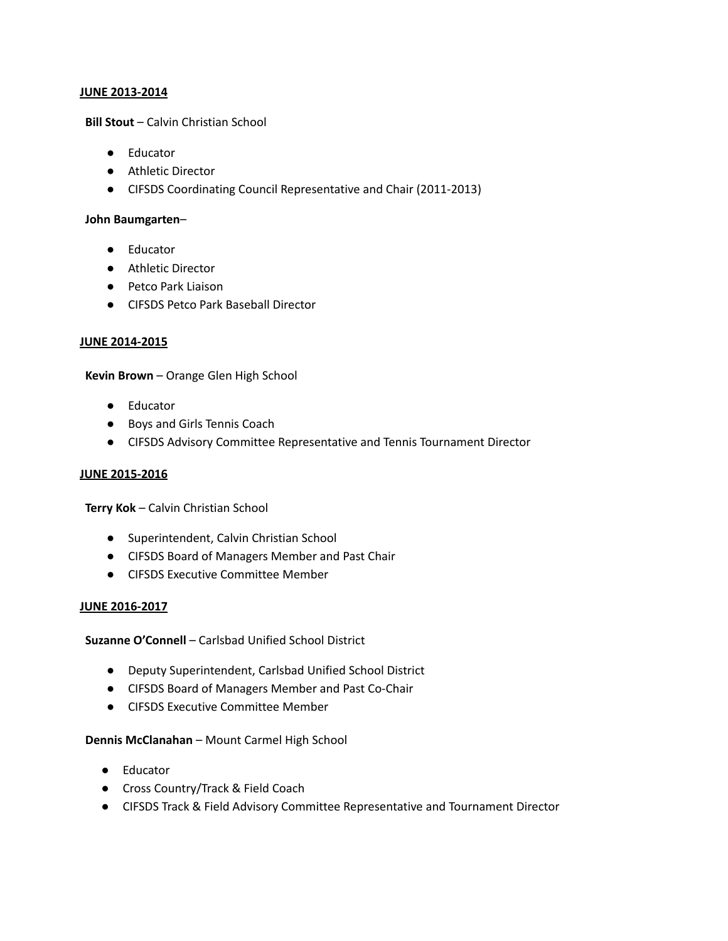### **JUNE 2013-2014**

**Bill Stout** – Calvin Christian School

- Educator
- Athletic Director
- CIFSDS Coordinating Council Representative and Chair (2011-2013)

### **John Baumgarten**–

- Educator
- Athletic Director
- Petco Park Liaison
- CIFSDS Petco Park Baseball Director

### **JUNE 2014-2015**

**Kevin Brown** – Orange Glen High School

- Educator
- Boys and Girls Tennis Coach
- CIFSDS Advisory Committee Representative and Tennis Tournament Director

## **JUNE 2015-2016**

**Terry Kok** – Calvin Christian School

- Superintendent, Calvin Christian School
- CIFSDS Board of Managers Member and Past Chair
- CIFSDS Executive Committee Member

#### **JUNE 2016-2017**

**Suzanne O'Connell** – Carlsbad Unified School District

- Deputy Superintendent, Carlsbad Unified School District
- CIFSDS Board of Managers Member and Past Co-Chair
- CIFSDS Executive Committee Member

#### **Dennis McClanahan** – Mount Carmel High School

- Educator
- Cross Country/Track & Field Coach
- CIFSDS Track & Field Advisory Committee Representative and Tournament Director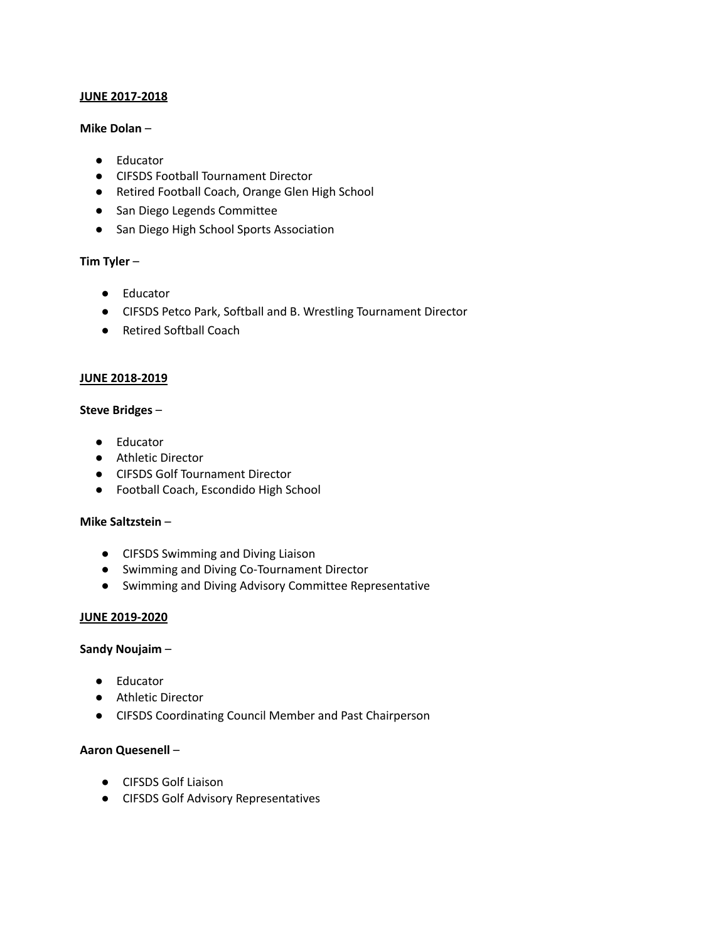# **JUNE 2017-2018**

### **Mike Dolan** –

- Educator
- CIFSDS Football Tournament Director
- Retired Football Coach, Orange Glen High School
- San Diego Legends Committee
- San Diego High School Sports Association

# **Tim Tyler** –

- Educator
- CIFSDS Petco Park, Softball and B. Wrestling Tournament Director
- Retired Softball Coach

### **JUNE 2018-2019**

#### **Steve Bridges** –

- Educator
- Athletic Director
- CIFSDS Golf Tournament Director
- Football Coach, Escondido High School

#### **Mike Saltzstein** –

- CIFSDS Swimming and Diving Liaison
- Swimming and Diving Co-Tournament Director
- Swimming and Diving Advisory Committee Representative

# **JUNE 2019-2020**

#### **Sandy Noujaim** –

- Educator
- Athletic Director
- CIFSDS Coordinating Council Member and Past Chairperson

# **Aaron Quesenell** –

- CIFSDS Golf Liaison
- CIFSDS Golf Advisory Representatives